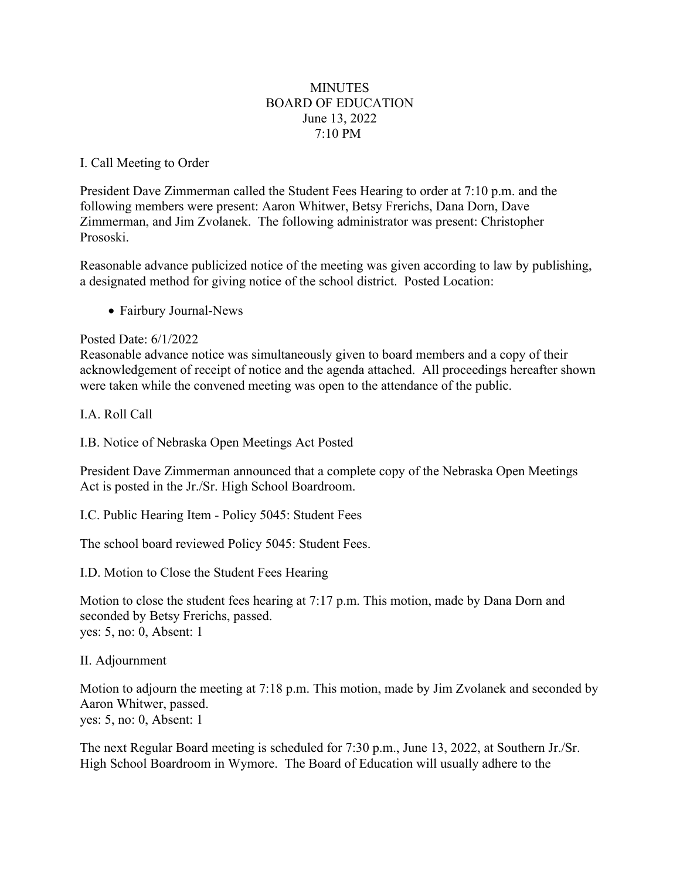## **MINUTES** BOARD OF EDUCATION June 13, 2022 7:10 PM

## I. Call Meeting to Order

President Dave Zimmerman called the Student Fees Hearing to order at 7:10 p.m. and the following members were present: Aaron Whitwer, Betsy Frerichs, Dana Dorn, Dave Zimmerman, and Jim Zvolanek. The following administrator was present: Christopher Prososki.

Reasonable advance publicized notice of the meeting was given according to law by publishing, a designated method for giving notice of the school district. Posted Location:

• Fairbury Journal-News

## Posted Date: 6/1/2022

Reasonable advance notice was simultaneously given to board members and a copy of their acknowledgement of receipt of notice and the agenda attached. All proceedings hereafter shown were taken while the convened meeting was open to the attendance of the public.

I.A. Roll Call

I.B. Notice of Nebraska Open Meetings Act Posted

President Dave Zimmerman announced that a complete copy of the Nebraska Open Meetings Act is posted in the Jr./Sr. High School Boardroom.

I.C. Public Hearing Item - Policy 5045: Student Fees

The school board reviewed Policy 5045: Student Fees.

I.D. Motion to Close the Student Fees Hearing

Motion to close the student fees hearing at 7:17 p.m. This motion, made by Dana Dorn and seconded by Betsy Frerichs, passed. yes: 5, no: 0, Absent: 1

II. Adjournment

Motion to adjourn the meeting at 7:18 p.m. This motion, made by Jim Zvolanek and seconded by Aaron Whitwer, passed. yes: 5, no: 0, Absent: 1

The next Regular Board meeting is scheduled for 7:30 p.m., June 13, 2022, at Southern Jr./Sr. High School Boardroom in Wymore. The Board of Education will usually adhere to the